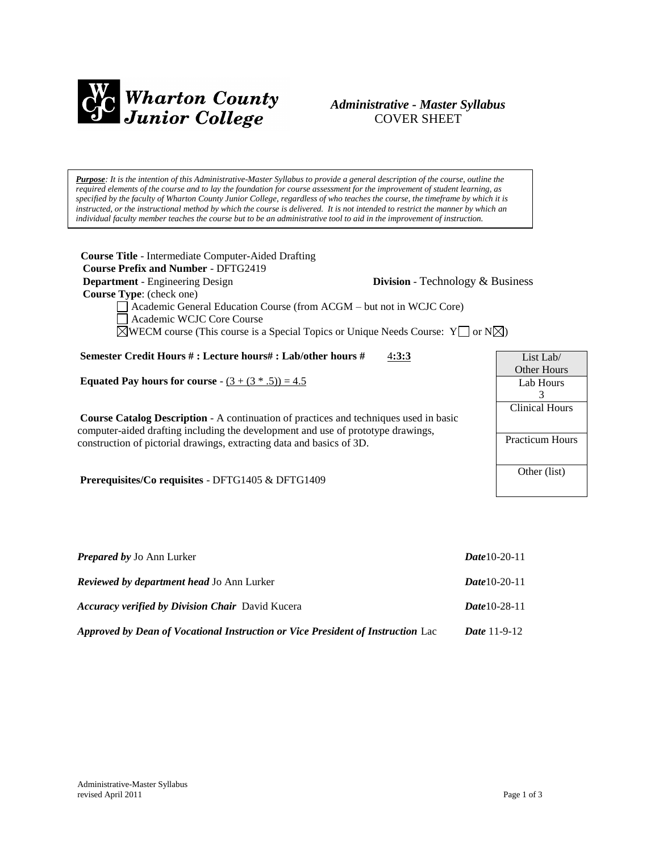

# *Administrative - Master Syllabus*  COVER SHEET

*Purpose: It is the intention of this Administrative-Master Syllabus to provide a general description of the course, outline the required elements of the course and to lay the foundation for course assessment for the improvement of student learning, as specified by the faculty of Wharton County Junior College, regardless of who teaches the course, the timeframe by which it is instructed, or the instructional method by which the course is delivered. It is not intended to restrict the manner by which an individual faculty member teaches the course but to be an administrative tool to aid in the improvement of instruction.*

| <b>Course Title</b> - Intermediate Computer-Aided Drafting<br><b>Course Prefix and Number - DFTG2419</b>                                                                                                                                         |                                         |
|--------------------------------------------------------------------------------------------------------------------------------------------------------------------------------------------------------------------------------------------------|-----------------------------------------|
| <b>Department</b> - Engineering Design                                                                                                                                                                                                           | <b>Division</b> - Technology & Business |
| Course Type: (check one)<br>Academic General Education Course (from ACGM – but not in WCJC Core)<br>Academic WCJC Core Course<br>$\triangle$ WECM course (This course is a Special Topics or Unique Needs Course: $Y \square$ or $N \triangle$ ) |                                         |
| Semester Credit Hours #: Lecture hours#: Lab/other hours #<br>4:3:3                                                                                                                                                                              | List Lab/                               |
|                                                                                                                                                                                                                                                  | <b>Other Hours</b>                      |
| <b>Equated Pay hours for course</b> - $(3 + (3 * .5)) = 4.5$                                                                                                                                                                                     | Lab Hours                               |
|                                                                                                                                                                                                                                                  | 3<br><b>Clinical Hours</b>              |
| <b>Course Catalog Description - A continuation of practices and techniques used in basic</b><br>computer-aided drafting including the development and use of prototype drawings,                                                                 |                                         |
| construction of pictorial drawings, extracting data and basics of 3D.                                                                                                                                                                            | <b>Practicum Hours</b>                  |
| <b>Prerequisites/Co requisites - DFTG1405 &amp; DFTG1409</b>                                                                                                                                                                                     | Other (list)                            |

| <b>Prepared by Jo Ann Lurker</b>                                                | <b>Date</b> 10-20-11  |
|---------------------------------------------------------------------------------|-----------------------|
| <b>Reviewed by department head Jo Ann Lurker</b>                                | <b>Date</b> 10-20-11  |
| <b>Accuracy verified by Division Chair</b> David Kucera                         | <b>Date</b> 10-28-11  |
| Approved by Dean of Vocational Instruction or Vice President of Instruction Lac | <i>Date</i> $11-9-12$ |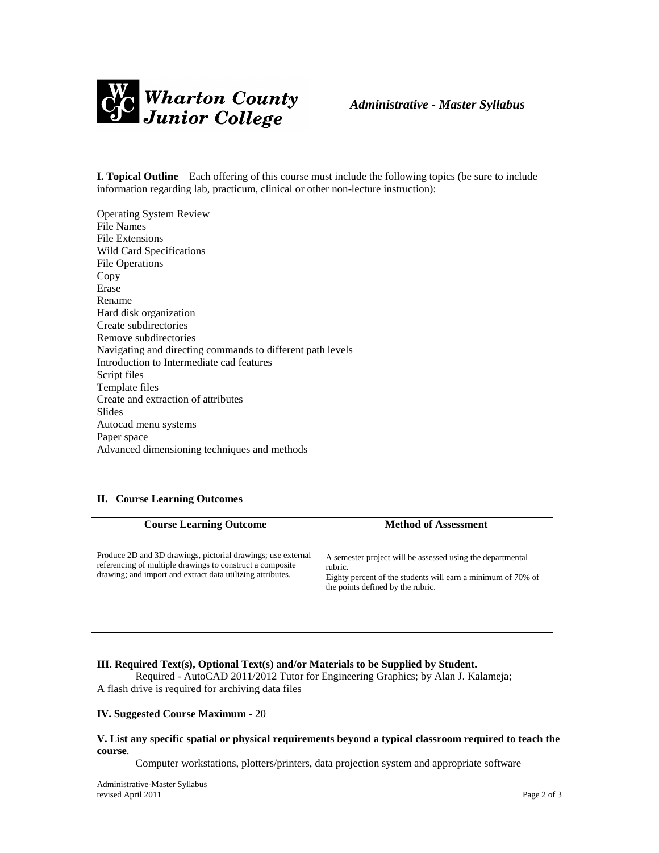

**I. Topical Outline** – Each offering of this course must include the following topics (be sure to include information regarding lab, practicum, clinical or other non-lecture instruction):

Operating System Review File Names File Extensions Wild Card Specifications File Operations Copy Erase Rename Hard disk organization Create subdirectories Remove subdirectories Navigating and directing commands to different path levels Introduction to Intermediate cad features Script files Template files Create and extraction of attributes **Slides** Autocad menu systems Paper space Advanced dimensioning techniques and methods

## **II. Course Learning Outcomes**

| <b>Course Learning Outcome</b>                                                                                                                                                          | <b>Method of Assessment</b>                                                                                                                                                |
|-----------------------------------------------------------------------------------------------------------------------------------------------------------------------------------------|----------------------------------------------------------------------------------------------------------------------------------------------------------------------------|
| Produce 2D and 3D drawings, pictorial drawings; use external<br>referencing of multiple drawings to construct a composite<br>drawing; and import and extract data utilizing attributes. | A semester project will be assessed using the departmental<br>rubric.<br>Eighty percent of the students will earn a minimum of 70% of<br>the points defined by the rubric. |

#### **III. Required Text(s), Optional Text(s) and/or Materials to be Supplied by Student.**

Required - AutoCAD 2011/2012 Tutor for Engineering Graphics; by Alan J. Kalameja; A flash drive is required for archiving data files

#### **IV. Suggested Course Maximum** - 20

#### **V. List any specific spatial or physical requirements beyond a typical classroom required to teach the course**.

Computer workstations, plotters/printers, data projection system and appropriate software